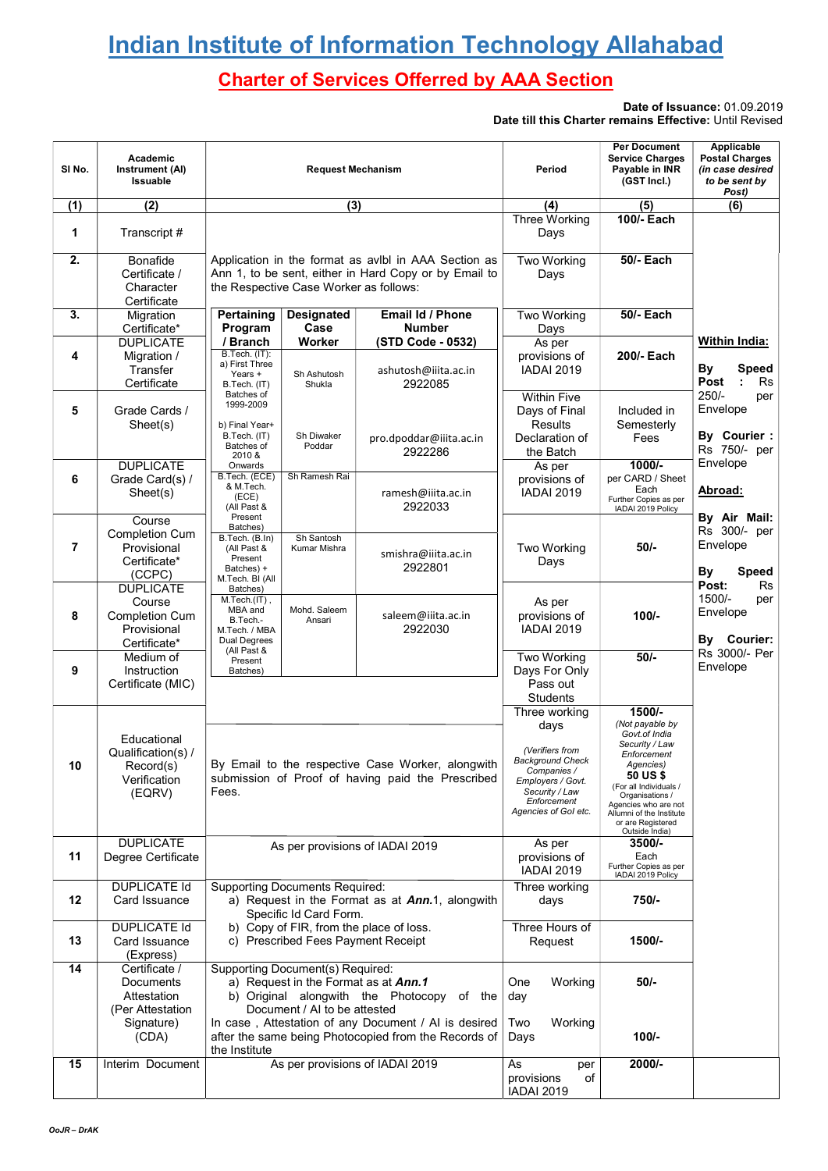# **Indian Institute of Information Technology Allahabad**

# Charter of Services Offerred by AAA Section

Date of Issuance: 01.09.2019 Date till this Charter remains Effective: Until Revised

| SINO.          | Academic<br>Instrument (AI)<br>Issuable                                              | <b>Request Mechanism</b>                                                                                                                                                                                                                                                         |                                                                                                        | Period                                                                                                                                                           | <b>Per Document</b><br><b>Service Charges</b><br>Payable in INR<br>(GST Incl.)                                                                                                                                                               | Applicable<br><b>Postal Charges</b><br>(in case desired<br>to be sent by<br>Post) |
|----------------|--------------------------------------------------------------------------------------|----------------------------------------------------------------------------------------------------------------------------------------------------------------------------------------------------------------------------------------------------------------------------------|--------------------------------------------------------------------------------------------------------|------------------------------------------------------------------------------------------------------------------------------------------------------------------|----------------------------------------------------------------------------------------------------------------------------------------------------------------------------------------------------------------------------------------------|-----------------------------------------------------------------------------------|
| (1)            | $\overline{(2)}$                                                                     | (3)                                                                                                                                                                                                                                                                              |                                                                                                        | (4)                                                                                                                                                              | (5)                                                                                                                                                                                                                                          | (6)                                                                               |
|                |                                                                                      |                                                                                                                                                                                                                                                                                  |                                                                                                        | <b>Three Working</b>                                                                                                                                             | 100/- Each                                                                                                                                                                                                                                   |                                                                                   |
| 1              | Transcript #                                                                         |                                                                                                                                                                                                                                                                                  |                                                                                                        | Days                                                                                                                                                             |                                                                                                                                                                                                                                              |                                                                                   |
| 2.             | Bonafide<br>Certificate /<br>Character<br>Certificate                                | Application in the format as avibl in AAA Section as<br>Ann 1, to be sent, either in Hard Copy or by Email to<br>the Respective Case Worker as follows:                                                                                                                          |                                                                                                        | <b>Two Working</b><br>Days                                                                                                                                       | <b>50/- Each</b>                                                                                                                                                                                                                             |                                                                                   |
| 3.             | Migration<br>Certificate*                                                            | Pertaining<br>Designated<br>Case<br>Program                                                                                                                                                                                                                                      | <b>Email Id / Phone</b><br><b>Number</b>                                                               | <b>Two Working</b><br>Days                                                                                                                                       | <b>50/- Each</b>                                                                                                                                                                                                                             |                                                                                   |
| 4              | <b>DUPLICATE</b><br>Migration /<br>Transfer<br>Certificate                           | / Branch<br>Worker<br>B.Tech. (IT):<br>a) First Three<br>Years +<br>Sh Ashutosh<br>B.Tech. (IT)<br>Shukla                                                                                                                                                                        | (STD Code - 0532)<br>ashutosh@iiita.ac.in<br>2922085                                                   | As per<br>provisions of<br><b>IADAI 2019</b>                                                                                                                     | 200/- Each                                                                                                                                                                                                                                   | Within India:<br><b>By</b><br><b>Speed</b><br>Post<br><b>Rs</b>                   |
| 5              | Grade Cards /<br>Sheet(s)                                                            | Batches of<br>1999-2009<br>b) Final Year+<br>B.Tech. (IT)<br>Sh Diwaker<br>Batches of<br>Poddar<br>2010 &                                                                                                                                                                        | pro.dpoddar@iiita.ac.in<br>2922286                                                                     | <b>Within Five</b><br>Days of Final<br>Results<br>Declaration of<br>the Batch                                                                                    | Included in<br>Semesterly<br>Fees                                                                                                                                                                                                            | $250/-$<br>per<br>Envelope<br>By Courier :<br>Rs 750/- per                        |
| 6              | <b>DUPLICATE</b><br>Grade Card(s) /<br>Sheet(s)                                      | Onwards<br>Sh Ramesh Rai<br>B.Tech. (ECE)<br>& M.Tech.<br>(ECE)<br>(All Past &                                                                                                                                                                                                   | ramesh@iiita.ac.in<br>2922033                                                                          | As per<br>provisions of<br><b>IADAI 2019</b>                                                                                                                     | $1000/-$<br>per CARD / Sheet<br>Each<br>Further Copies as per<br>IADAI 2019 Policy                                                                                                                                                           | Envelope<br>Abroad:                                                               |
| $\overline{7}$ | Course<br><b>Completion Cum</b><br>Provisional<br>Certificate*<br>(CCPC)             | Present<br>Batches)<br>B.Tech. (B.In)<br>Sh Santosh<br>(All Past &<br>Kumar Mishra<br>Present<br>Batches) +<br>M.Tech. BI (All                                                                                                                                                   | smishra@iiita.ac.in<br>2922801                                                                         | Two Working<br>Days                                                                                                                                              | $50/-$                                                                                                                                                                                                                                       | By Air Mail:<br>Rs 300/- per<br>Envelope<br>By<br><b>Speed</b><br>Post:<br>Rs     |
| 8              | <b>DUPLICATE</b><br>Course<br><b>Completion Cum</b><br>Provisional<br>Certificate*   | Batches)<br>M.Tech.(IT),<br>Mohd. Saleem<br>MBA and<br>B.Tech.-<br>Ansari<br>M.Tech. / MBA<br><b>Dual Degrees</b>                                                                                                                                                                | saleem@iiita.ac.in<br>2922030                                                                          | As per<br>provisions of<br><b>IADAI 2019</b>                                                                                                                     | $100/-$                                                                                                                                                                                                                                      | 1500/-<br>per<br>Envelope<br>By Courier:                                          |
| 9              | Medium of<br>Instruction<br>Certificate (MIC)                                        | (All Past &<br>Present<br>Batches)                                                                                                                                                                                                                                               |                                                                                                        | <b>Two Working</b><br>Days For Only<br>Pass out<br><b>Students</b>                                                                                               | $50/-$                                                                                                                                                                                                                                       | Rs 3000/- Per<br>Envelope                                                         |
| 10             | Educational<br>Qualification(s) /<br>Record(s)<br>Verification<br>(EQRV)             | Fees.                                                                                                                                                                                                                                                                            | By Email to the respective Case Worker, alongwith<br>submission of Proof of having paid the Prescribed | Three working<br>days<br>(Verifiers from<br><b>Background Check</b><br>Companies /<br>Employers / Govt.<br>Security / Law<br>Enforcement<br>Agencies of Gol etc. | 1500/-<br>(Not payable by<br>Govt.of India<br>Security / Law<br>Enforcement<br>Agencies)<br>50 US \$<br>(For all Individuals /<br>Organisations /<br>Agencies who are not<br>Allumni of the Institute<br>or are Registered<br>Outside India) |                                                                                   |
| 11             | <b>DUPLICATE</b><br>Degree Certificate                                               | As per provisions of IADAI 2019                                                                                                                                                                                                                                                  |                                                                                                        | As per<br>provisions of<br><b>IADAI 2019</b>                                                                                                                     | 3500/-<br>Each<br>Further Copies as per<br>IADAI 2019 Policy                                                                                                                                                                                 |                                                                                   |
| 12             | <b>DUPLICATE Id</b><br>Card Issuance                                                 | <b>Supporting Documents Required:</b><br>a) Request in the Format as at <b>Ann.</b> 1, alongwith<br>Specific Id Card Form.                                                                                                                                                       |                                                                                                        | Three working<br>days                                                                                                                                            | 750/-                                                                                                                                                                                                                                        |                                                                                   |
| 13             | <b>DUPLICATE Id</b><br>Card Issuance<br>(Express)                                    | b) Copy of FIR, from the place of loss.<br>c) Prescribed Fees Payment Receipt                                                                                                                                                                                                    |                                                                                                        | Three Hours of<br>Request                                                                                                                                        | 1500/-                                                                                                                                                                                                                                       |                                                                                   |
| 14             | Certificate /<br>Documents<br>Attestation<br>(Per Attestation<br>Signature)<br>(CDA) | <b>Supporting Document(s) Required:</b><br>a) Request in the Format as at Ann.1<br>b) Original alongwith the Photocopy<br>of the<br>Document / AI to be attested<br>In case, Attestation of any Document / AI is desired<br>after the same being Photocopied from the Records of |                                                                                                        | One<br>Working<br>day<br>Two<br>Working<br>Days                                                                                                                  | 50/-<br>$100/-$                                                                                                                                                                                                                              |                                                                                   |
| 15             | Interim Document                                                                     | the Institute<br>As per provisions of IADAI 2019                                                                                                                                                                                                                                 |                                                                                                        | As<br>per<br>provisions<br>of<br><b>IADAI 2019</b>                                                                                                               | 2000/-                                                                                                                                                                                                                                       |                                                                                   |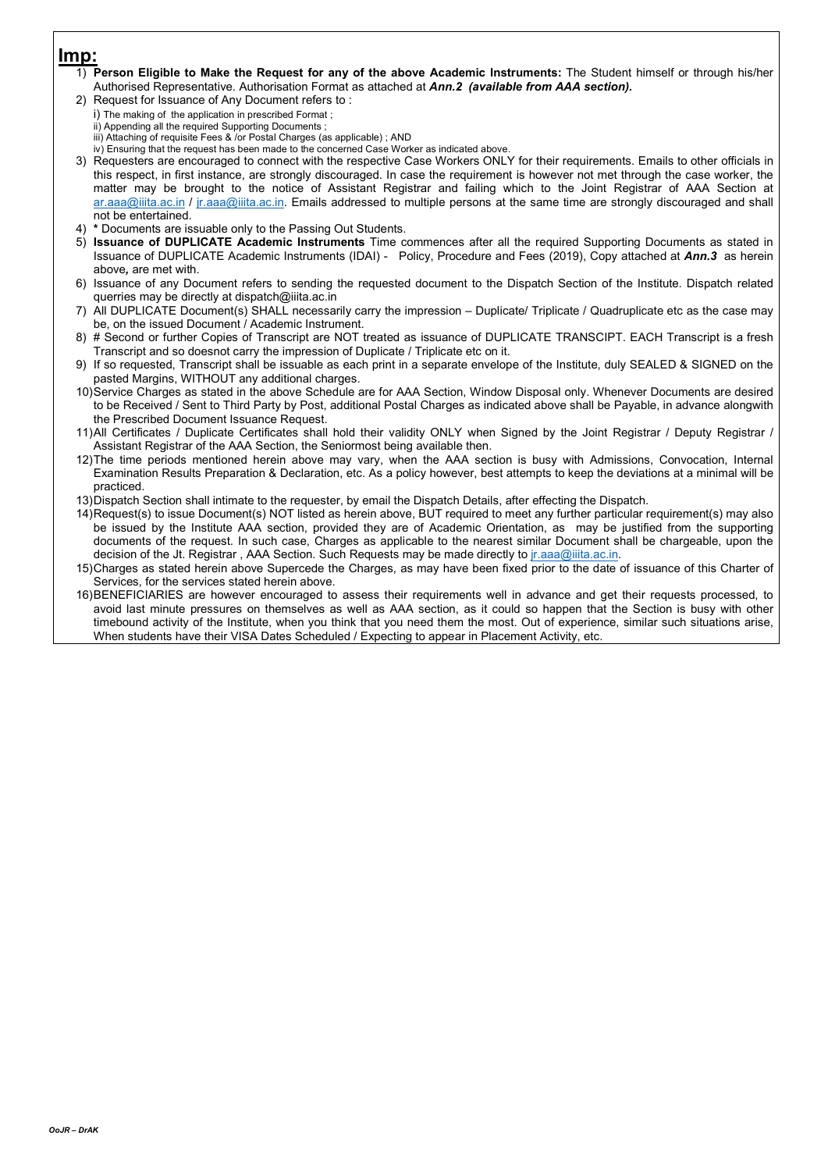### Imp:

- 1) Person Eligible to Make the Request for any of the above Academic Instruments: The Student himself or through his/her Authorised Representative. Authorisation Format as attached at Ann.2 (available from AAA section).
- 2) Request for Issuance of Any Document refers to :
	- i) The making of the application in prescribed Format ;
	- ii) Appending all the required Supporting Documents ; iii) Attaching of requisite Fees & /or Postal Charges (as applicable) ; AND
	- iv) Ensuring that the request has been made to the concerned Case Worker as indicated above.
- 3) Requesters are encouraged to connect with the respective Case Workers ONLY for their requirements. Emails to other officials in this respect, in first instance, are strongly discouraged. In case the requirement is however not met through the case worker, the matter may be brought to the notice of Assistant Registrar and failing which to the Joint Registrar of AAA Section at ar.aaa@iiita.ac.in / jr.aaa@iiita.ac.in. Emails addressed to multiple persons at the same time are strongly discouraged and shall not be entertained.
- 4) \* Documents are issuable only to the Passing Out Students.
- 5) Issuance of DUPLICATE Academic Instruments Time commences after all the required Supporting Documents as stated in Issuance of DUPLICATE Academic Instruments (IDAI) - Policy, Procedure and Fees (2019), Copy attached at Ann.3 as herein above, are met with.
- 6) Issuance of any Document refers to sending the requested document to the Dispatch Section of the Institute. Dispatch related querries may be directly at dispatch@iiita.ac.in
- 7) All DUPLICATE Document(s) SHALL necessarily carry the impression Duplicate/ Triplicate / Quadruplicate etc as the case may be, on the issued Document / Academic Instrument.
- 8) # Second or further Copies of Transcript are NOT treated as issuance of DUPLICATE TRANSCIPT. EACH Transcript is a fresh Transcript and so doesnot carry the impression of Duplicate / Triplicate etc on it.
- 9) If so requested, Transcript shall be issuable as each print in a separate envelope of the Institute, duly SEALED & SIGNED on the pasted Margins, WITHOUT any additional charges.
- 10) Service Charges as stated in the above Schedule are for AAA Section, Window Disposal only. Whenever Documents are desired to be Received / Sent to Third Party by Post, additional Postal Charges as indicated above shall be Payable, in advance alongwith the Prescribed Document Issuance Request.
- 11) All Certificates / Duplicate Certificates shall hold their validity ONLY when Signed by the Joint Registrar / Deputy Registrar / Assistant Registrar of the AAA Section, the Seniormost being available then.
- 12) The time periods mentioned herein above may vary, when the AAA section is busy with Admissions, Convocation, Internal Examination Results Preparation & Declaration, etc. As a policy however, best attempts to keep the deviations at a minimal will be practiced.
- 13) Dispatch Section shall intimate to the requester, by email the Dispatch Details, after effecting the Dispatch.
- 14) Request(s) to issue Document(s) NOT listed as herein above, BUT required to meet any further particular requirement(s) may also be issued by the Institute AAA section, provided they are of Academic Orientation, as may be justified from the supporting documents of the request. In such case, Charges as applicable to the nearest similar Document shall be chargeable, upon the decision of the Jt. Registrar, AAA Section. Such Requests may be made directly to jr.aaa@iiita.ac.in.
- 15) Charges as stated herein above Supercede the Charges, as may have been fixed prior to the date of issuance of this Charter of Services, for the services stated herein above.
- 16) BENEFICIARIES are however encouraged to assess their requirements well in advance and get their requests processed, to avoid last minute pressures on themselves as well as AAA section, as it could so happen that the Section is busy with other timebound activity of the Institute, when you think that you need them the most. Out of experience, similar such situations arise, When students have their VISA Dates Scheduled / Expecting to appear in Placement Activity, etc.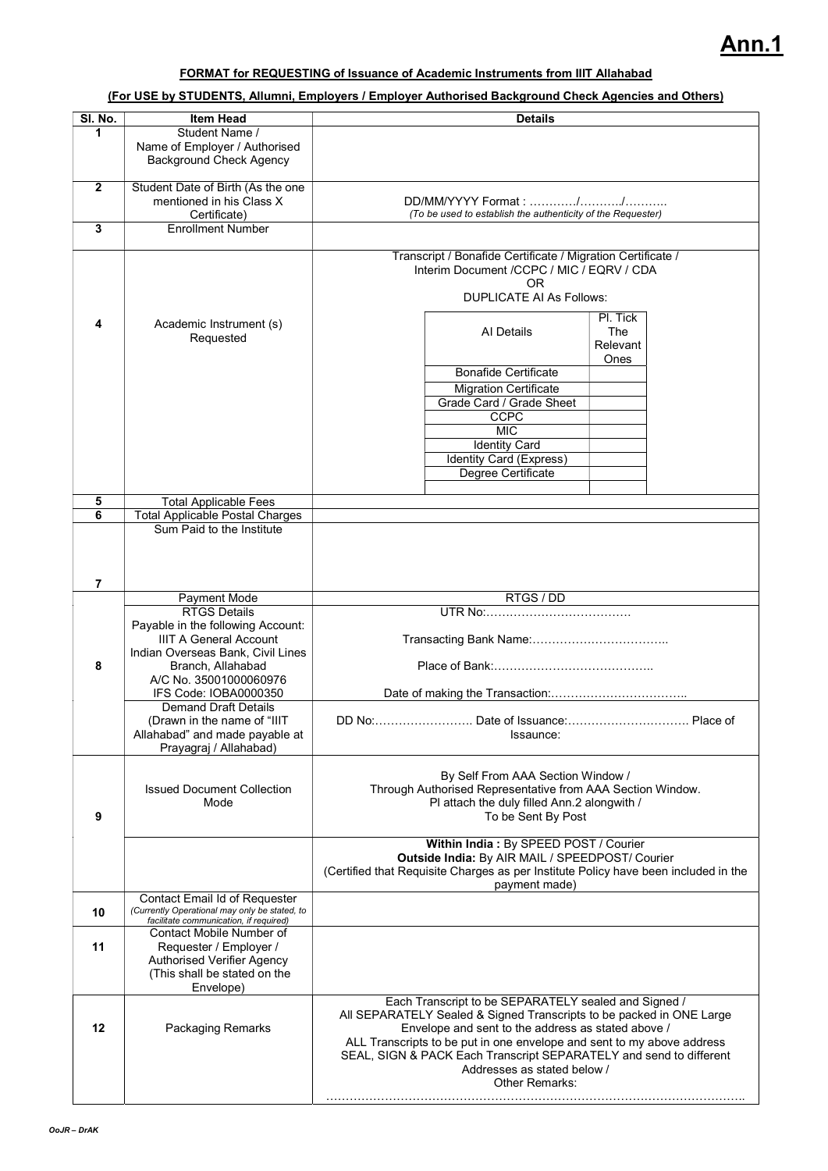### FORMAT for REQUESTING of Issuance of Academic Instruments from IIIT Allahabad

#### (For USE by STUDENTS, Allumni, Employers / Employer Authorised Background Check Agencies and Others)

| SI. No.           | <b>Item Head</b>                                                                                                                                                                                                                                                                     | <b>Details</b>                                                                                                                                                                                                                                                                                                                                                                                          |  |  |  |
|-------------------|--------------------------------------------------------------------------------------------------------------------------------------------------------------------------------------------------------------------------------------------------------------------------------------|---------------------------------------------------------------------------------------------------------------------------------------------------------------------------------------------------------------------------------------------------------------------------------------------------------------------------------------------------------------------------------------------------------|--|--|--|
| 1                 | Student Name /<br>Name of Employer / Authorised<br><b>Background Check Agency</b>                                                                                                                                                                                                    |                                                                                                                                                                                                                                                                                                                                                                                                         |  |  |  |
| $\mathbf{2}$<br>3 | Student Date of Birth (As the one<br>mentioned in his Class X<br>Certificate)<br><b>Enrollment Number</b>                                                                                                                                                                            | DD/MM/YYYY Format: //<br>(To be used to establish the authenticity of the Requester)                                                                                                                                                                                                                                                                                                                    |  |  |  |
| 4<br>5            | Academic Instrument (s)<br>Requested<br><b>Total Applicable Fees</b>                                                                                                                                                                                                                 | Transcript / Bonafide Certificate / Migration Certificate /<br>Interim Document /CCPC / MIC / EQRV / CDA<br><b>OR</b><br><b>DUPLICATE AI As Follows:</b><br>PI. Tick<br>Al Details<br>The<br>Relevant<br>Ones<br><b>Bonafide Certificate</b><br><b>Migration Certificate</b><br>Grade Card / Grade Sheet<br>CCPC<br><b>MIC</b><br><b>Identity Card</b><br>Identity Card (Express)<br>Degree Certificate |  |  |  |
| 6                 | <b>Total Applicable Postal Charges</b><br>Sum Paid to the Institute                                                                                                                                                                                                                  |                                                                                                                                                                                                                                                                                                                                                                                                         |  |  |  |
| 7                 |                                                                                                                                                                                                                                                                                      |                                                                                                                                                                                                                                                                                                                                                                                                         |  |  |  |
| 8                 | Payment Mode<br><b>RTGS Details</b><br>Payable in the following Account:<br><b>IIIT A General Account</b><br>Indian Overseas Bank, Civil Lines<br>Branch, Allahabad<br>A/C No. 35001000060976<br>IFS Code: IOBA0000350<br><b>Demand Draft Details</b><br>(Drawn in the name of "IIIT | RTGS / DD                                                                                                                                                                                                                                                                                                                                                                                               |  |  |  |
| 9                 | Allahabad" and made payable at<br>Prayagraj / Allahabad)<br><b>Issued Document Collection</b><br>Mode                                                                                                                                                                                | Issaunce:<br>By Self From AAA Section Window /<br>Through Authorised Representative from AAA Section Window.<br>PI attach the duly filled Ann.2 alongwith /<br>To be Sent By Post<br>Within India: By SPEED POST / Courier                                                                                                                                                                              |  |  |  |
|                   |                                                                                                                                                                                                                                                                                      | Outside India: By AIR MAIL / SPEEDPOST/ Courier<br>(Certified that Requisite Charges as per Institute Policy have been included in the<br>payment made)                                                                                                                                                                                                                                                 |  |  |  |
| 10                | Contact Email Id of Requester<br>(Currently Operational may only be stated, to<br>facilitate communication, if required)                                                                                                                                                             |                                                                                                                                                                                                                                                                                                                                                                                                         |  |  |  |
| 11                | Contact Mobile Number of<br>Requester / Employer /<br><b>Authorised Verifier Agency</b><br>(This shall be stated on the<br>Envelope)                                                                                                                                                 |                                                                                                                                                                                                                                                                                                                                                                                                         |  |  |  |
| 12                | Packaging Remarks                                                                                                                                                                                                                                                                    | Each Transcript to be SEPARATELY sealed and Signed /<br>All SEPARATELY Sealed & Signed Transcripts to be packed in ONE Large<br>Envelope and sent to the address as stated above /<br>ALL Transcripts to be put in one envelope and sent to my above address<br>SEAL, SIGN & PACK Each Transcript SEPARATELY and send to different<br>Addresses as stated below /<br>Other Remarks:                     |  |  |  |